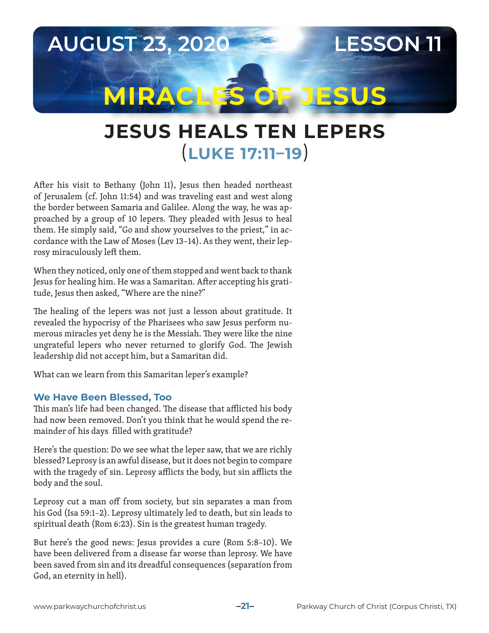

# **JESUS HEALS TEN LEPERS** (**LUKE 17:11–19**)

After his visit to Bethany (John 11), Jesus then headed northeast of Jerusalem (cf. John 11:54) and was traveling east and west along the border between Samaria and Galilee. Along the way, he was approached by a group of 10 lepers. They pleaded with Jesus to heal them. He simply said, "Go and show yourselves to the priest," in accordance with the Law of Moses (Lev 13–14). As they went, their leprosy miraculously left them.

When they noticed, only one of them stopped and went back to thank Jesus for healing him. He was a Samaritan. After accepting his gratitude, Jesus then asked, "Where are the nine?"

The healing of the lepers was not just a lesson about gratitude. It revealed the hypocrisy of the Pharisees who saw Jesus perform numerous miracles yet deny he is the Messiah. They were like the nine ungrateful lepers who never returned to glorify God. The Jewish leadership did not accept him, but a Samaritan did.

What can we learn from this Samaritan leper's example?

#### **We Have Been Blessed, Too**

This man's life had been changed. The disease that afflicted his body had now been removed. Don't you think that he would spend the remainder of his days filled with gratitude?

Here's the question: Do we see what the leper saw, that we are richly blessed? Leprosy is an awful disease, but it does not begin to compare with the tragedy of sin. Leprosy afflicts the body, but sin afflicts the body and the soul.

Leprosy cut a man off from society, but sin separates a man from his God (Isa 59:1–2). Leprosy ultimately led to death, but sin leads to spiritual death (Rom 6:23). Sin is the greatest human tragedy.

But here's the good news: Jesus provides a cure (Rom 5:8–10). We have been delivered from a disease far worse than leprosy. We have been saved from sin and its dreadful consequences (separation from God, an eternity in hell).